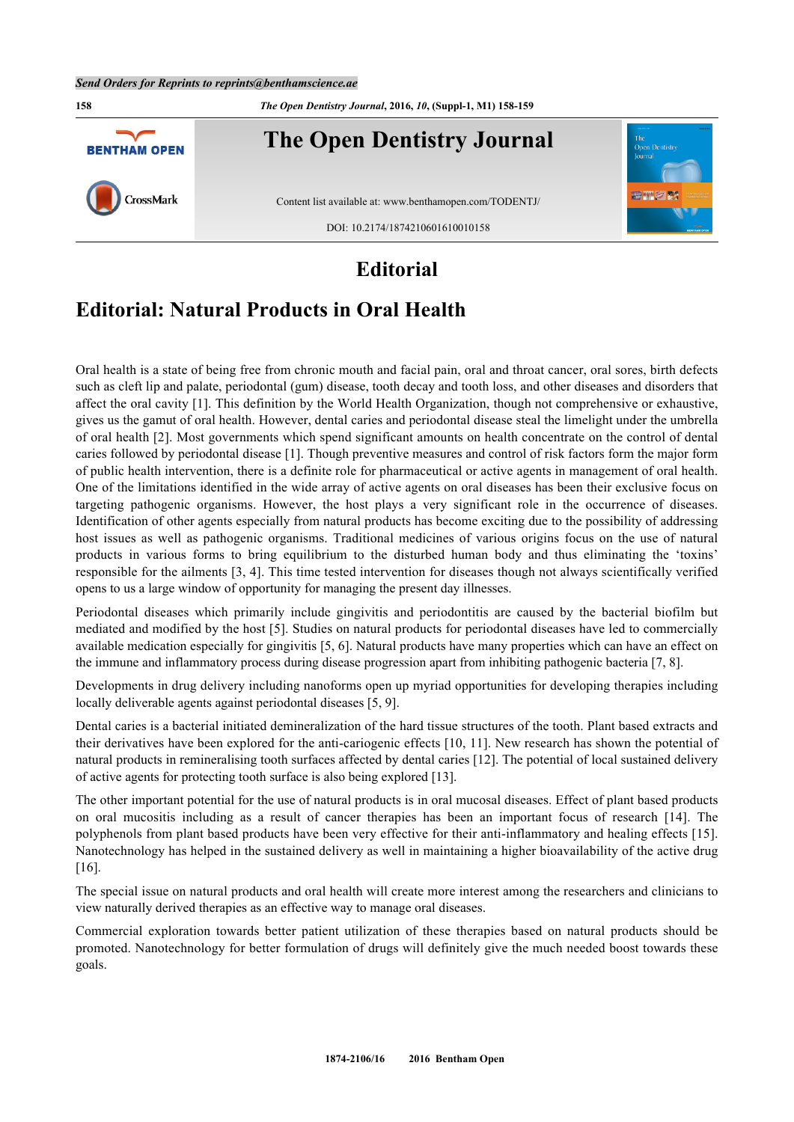**158** *The Open Dentistry Journal***, 2016,** *10***, (Suppl-1, M1) 158-159**



## **Editorial**

## **Editorial: Natural Products in Oral Health**

Oral health is a state of being free from chronic mouth and facial pain, oral and throat cancer, oral sores, birth defects such as cleft lip and palate, periodontal (gum) disease, tooth decay and tooth loss, and other diseases and disorders that affect the oral cavity [[1\]](#page-1-0). This definition by the World Health Organization, though not comprehensive or exhaustive, gives us the gamut of oral health. However, dental caries and periodontal disease steal the limelight under the umbrella of oral health [\[2\]](#page-1-1). Most governments which spend significant amounts on health concentrate on the control of dental caries followed by periodontal disease [[1](#page-1-0)]. Though preventive measures and control of risk factors form the major form of public health intervention, there is a definite role for pharmaceutical or active agents in management of oral health. One of the limitations identified in the wide array of active agents on oral diseases has been their exclusive focus on targeting pathogenic organisms. However, the host plays a very significant role in the occurrence of diseases. Identification of other agents especially from natural products has become exciting due to the possibility of addressing host issues as well as pathogenic organisms. Traditional medicines of various origins focus on the use of natural products in various forms to bring equilibrium to the disturbed human body and thus eliminating the 'toxins' responsible for the ailments [[3,](#page-1-2) [4](#page-1-3)]. This time tested intervention for diseases though not always scientifically verified opens to us a large window of opportunity for managing the present day illnesses.

Periodontal diseases which primarily include gingivitis and periodontitis are caused by the bacterial biofilm but mediated and modified by the host [\[5\]](#page-1-4). Studies on natural products for periodontal diseases have led to commercially available medication especially for gingivitis [[5,](#page-1-4) [6\]](#page-1-5). Natural products have many properties which can have an effect on the immune and inflammatory process during disease progression apart from inhibiting pathogenic bacteria [[7](#page-1-6)[, 8\]](#page-1-7).

Developments in drug delivery including nanoforms open up myriad opportunities for developing therapies including locally deliverable agents against periodontal diseases [[5](#page-1-4)[, 9\]](#page-1-8).

Dental caries is a bacterial initiated demineralization of the hard tissue structures of the tooth. Plant based extracts and their derivatives have been explored for the anti-cariogenic effects [[10](#page-1-9)[, 11\]](#page-1-10). New research has shown the potential of natural products in remineralising tooth surfaces affected by dental caries [\[12](#page-1-11)]. The potential of local sustained delivery of active agents for protecting tooth surface is also being explored [[13\]](#page-1-12).

The other important potential for the use of natural products is in oral mucosal diseases. Effect of plant based products on oral mucositis including as a result of cancer therapies has been an important focus of research[[14\]](#page-1-13). The polyphenols from plant based products have been very effective for their anti-inflammatory and healing effects [\[15\]](#page-1-14). Nanotechnology has helped in the sustained delivery as well in maintaining a higher bioavailability of the active drug [\[16](#page-1-15)].

The special issue on natural products and oral health will create more interest among the researchers and clinicians to view naturally derived therapies as an effective way to manage oral diseases.

Commercial exploration towards better patient utilization of these therapies based on natural products should be promoted. Nanotechnology for better formulation of drugs will definitely give the much needed boost towards these goals.